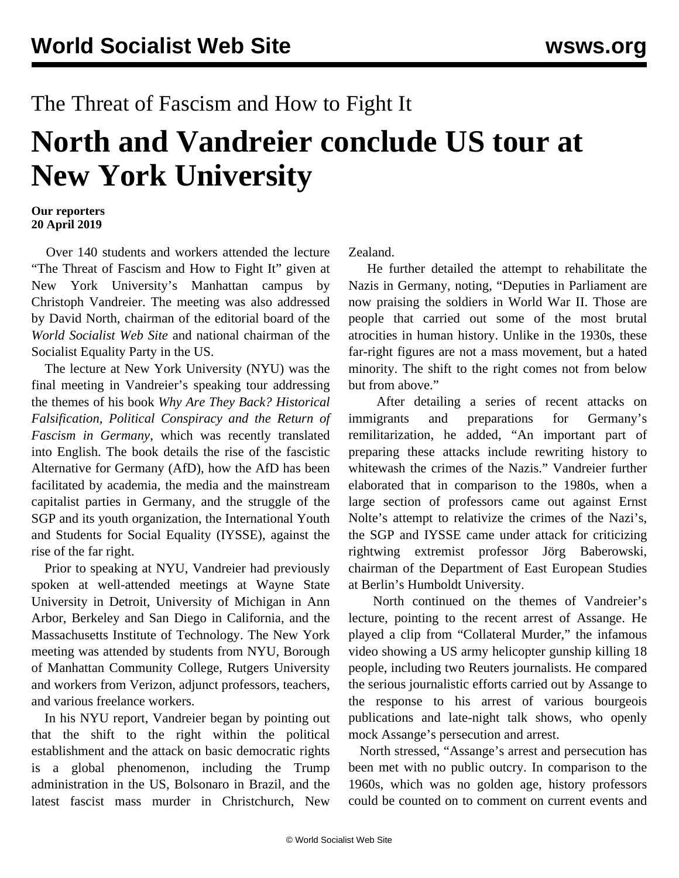## The Threat of Fascism and How to Fight It

## **North and Vandreier conclude US tour at New York University**

## **Our reporters 20 April 2019**

 Over 140 students and workers attended the lecture "The Threat of Fascism and How to Fight It" given at New York University's Manhattan campus by Christoph Vandreier. The meeting was also addressed by David North, chairman of the editorial board of the *World Socialist Web Site* and national chairman of the Socialist Equality Party in the US.

 The lecture at New York University (NYU) was the final meeting in Vandreier's speaking tour addressing the themes of his book *Why Are They Back? Historical Falsification, Political Conspiracy and the Return of Fascism in Germany*, which was recently translated into English. The book details the rise of the fascistic Alternative for Germany (AfD), how the AfD has been facilitated by academia, the media and the mainstream capitalist parties in Germany, and the struggle of the SGP and its youth organization, the International Youth and Students for Social Equality (IYSSE), against the rise of the far right.

 Prior to speaking at NYU, Vandreier had previously spoken at well-attended meetings at Wayne State University in Detroit, University of Michigan in Ann Arbor, Berkeley and San Diego in California, and the Massachusetts Institute of Technology. The New York meeting was attended by students from NYU, Borough of Manhattan Community College, Rutgers University and workers from Verizon, adjunct professors, teachers, and various freelance workers.

 In his NYU report, Vandreier began by pointing out that the shift to the right within the political establishment and the attack on basic democratic rights is a global phenomenon, including the Trump administration in the US, Bolsonaro in Brazil, and the latest fascist mass murder in Christchurch, New

Zealand.

 He further detailed the attempt to rehabilitate the Nazis in Germany, noting, "Deputies in Parliament are now praising the soldiers in World War II. Those are people that carried out some of the most brutal atrocities in human history. Unlike in the 1930s, these far-right figures are not a mass movement, but a hated minority. The shift to the right comes not from below but from above."

 After detailing a series of recent attacks on immigrants and preparations for Germany's remilitarization, he added, "An important part of preparing these attacks include rewriting history to whitewash the crimes of the Nazis." Vandreier further elaborated that in comparison to the 1980s, when a large section of professors came out against Ernst Nolte's attempt to relativize the crimes of the Nazi's, the SGP and IYSSE came under attack for criticizing rightwing extremist professor Jörg Baberowski, chairman of the Department of East European Studies at Berlin's Humboldt University.

 North continued on the themes of Vandreier's lecture, pointing to the recent arrest of Assange. He played a clip from "Collateral Murder," the infamous video showing a US army helicopter gunship killing 18 people, including two Reuters journalists. He compared the serious journalistic efforts carried out by Assange to the response to his arrest of various bourgeois publications and late-night talk shows, who openly mock Assange's persecution and arrest.

 North stressed, "Assange's arrest and persecution has been met with no public outcry. In comparison to the 1960s, which was no golden age, history professors could be counted on to comment on current events and